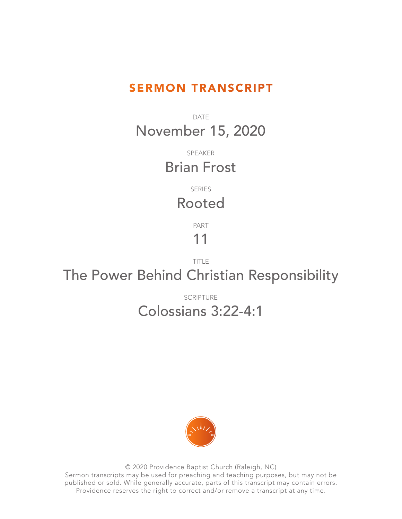## SERMON TRANSCRIPT

DATE November 15, 2020

> SPEAKER Brian Frost

> > SERIES

## Rooted

PART

## 11

TITLE

## The Power Behind Christian Responsibility

SCRIPTURE Colossians 3:22-4:1



© 2020 Providence Baptist Church (Raleigh, NC) Sermon transcripts may be used for preaching and teaching purposes, but may not be published or sold. While generally accurate, parts of this transcript may contain errors. Providence reserves the right to correct and/or remove a transcript at any time.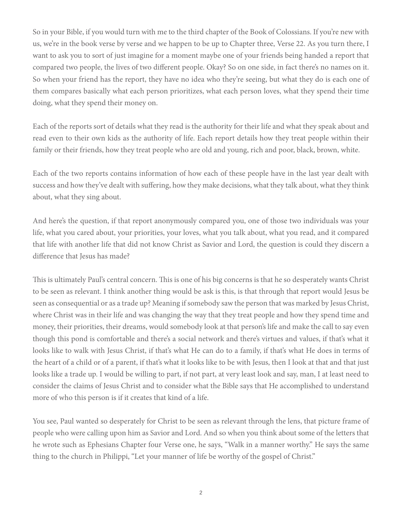So in your Bible, if you would turn with me to the third chapter of the Book of Colossians. If you're new with us, we're in the book verse by verse and we happen to be up to Chapter three, Verse 22. As you turn there, I want to ask you to sort of just imagine for a moment maybe one of your friends being handed a report that compared two people, the lives of two different people. Okay? So on one side, in fact there's no names on it. So when your friend has the report, they have no idea who they're seeing, but what they do is each one of them compares basically what each person prioritizes, what each person loves, what they spend their time doing, what they spend their money on.

Each of the reports sort of details what they read is the authority for their life and what they speak about and read even to their own kids as the authority of life. Each report details how they treat people within their family or their friends, how they treat people who are old and young, rich and poor, black, brown, white.

Each of the two reports contains information of how each of these people have in the last year dealt with success and how they've dealt with suffering, how they make decisions, what they talk about, what they think about, what they sing about.

And here's the question, if that report anonymously compared you, one of those two individuals was your life, what you cared about, your priorities, your loves, what you talk about, what you read, and it compared that life with another life that did not know Christ as Savior and Lord, the question is could they discern a difference that Jesus has made?

This is ultimately Paul's central concern. This is one of his big concerns is that he so desperately wants Christ to be seen as relevant. I think another thing would be ask is this, is that through that report would Jesus be seen as consequential or as a trade up? Meaning if somebody saw the person that was marked by Jesus Christ, where Christ was in their life and was changing the way that they treat people and how they spend time and money, their priorities, their dreams, would somebody look at that person's life and make the call to say even though this pond is comfortable and there's a social network and there's virtues and values, if that's what it looks like to walk with Jesus Christ, if that's what He can do to a family, if that's what He does in terms of the heart of a child or of a parent, if that's what it looks like to be with Jesus, then I look at that and that just looks like a trade up. I would be willing to part, if not part, at very least look and say, man, I at least need to consider the claims of Jesus Christ and to consider what the Bible says that He accomplished to understand more of who this person is if it creates that kind of a life.

You see, Paul wanted so desperately for Christ to be seen as relevant through the lens, that picture frame of people who were calling upon him as Savior and Lord. And so when you think about some of the letters that he wrote such as Ephesians Chapter four Verse one, he says, "Walk in a manner worthy." He says the same thing to the church in Philippi, "Let your manner of life be worthy of the gospel of Christ."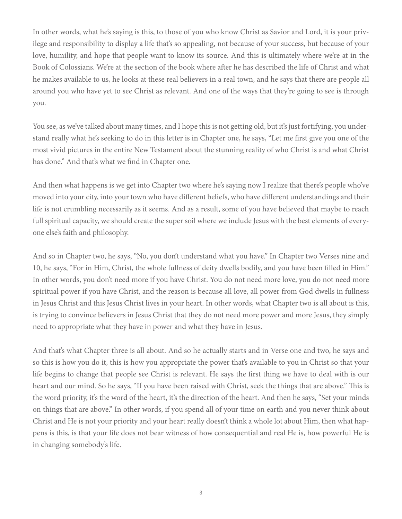In other words, what he's saying is this, to those of you who know Christ as Savior and Lord, it is your privilege and responsibility to display a life that's so appealing, not because of your success, but because of your love, humility, and hope that people want to know its source. And this is ultimately where we're at in the Book of Colossians. We're at the section of the book where after he has described the life of Christ and what he makes available to us, he looks at these real believers in a real town, and he says that there are people all around you who have yet to see Christ as relevant. And one of the ways that they're going to see is through you.

You see, as we've talked about many times, and I hope this is not getting old, but it's just fortifying, you understand really what he's seeking to do in this letter is in Chapter one, he says, "Let me first give you one of the most vivid pictures in the entire New Testament about the stunning reality of who Christ is and what Christ has done." And that's what we find in Chapter one.

And then what happens is we get into Chapter two where he's saying now I realize that there's people who've moved into your city, into your town who have different beliefs, who have different understandings and their life is not crumbling necessarily as it seems. And as a result, some of you have believed that maybe to reach full spiritual capacity, we should create the super soil where we include Jesus with the best elements of everyone else's faith and philosophy.

And so in Chapter two, he says, "No, you don't understand what you have." In Chapter two Verses nine and 10, he says, "For in Him, Christ, the whole fullness of deity dwells bodily, and you have been filled in Him." In other words, you don't need more if you have Christ. You do not need more love, you do not need more spiritual power if you have Christ, and the reason is because all love, all power from God dwells in fullness in Jesus Christ and this Jesus Christ lives in your heart. In other words, what Chapter two is all about is this, is trying to convince believers in Jesus Christ that they do not need more power and more Jesus, they simply need to appropriate what they have in power and what they have in Jesus.

And that's what Chapter three is all about. And so he actually starts and in Verse one and two, he says and so this is how you do it, this is how you appropriate the power that's available to you in Christ so that your life begins to change that people see Christ is relevant. He says the first thing we have to deal with is our heart and our mind. So he says, "If you have been raised with Christ, seek the things that are above." This is the word priority, it's the word of the heart, it's the direction of the heart. And then he says, "Set your minds on things that are above." In other words, if you spend all of your time on earth and you never think about Christ and He is not your priority and your heart really doesn't think a whole lot about Him, then what happens is this, is that your life does not bear witness of how consequential and real He is, how powerful He is in changing somebody's life.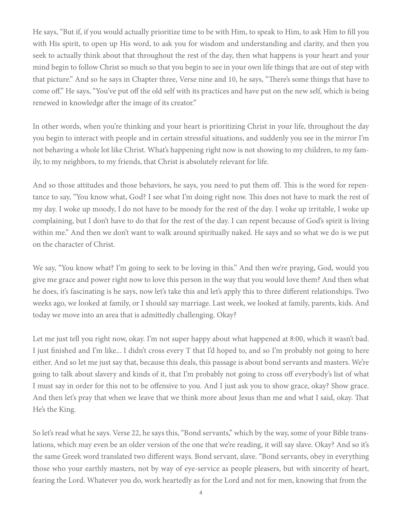He says, "But if, if you would actually prioritize time to be with Him, to speak to Him, to ask Him to fill you with His spirit, to open up His word, to ask you for wisdom and understanding and clarity, and then you seek to actually think about that throughout the rest of the day, then what happens is your heart and your mind begin to follow Christ so much so that you begin to see in your own life things that are out of step with that picture." And so he says in Chapter three, Verse nine and 10, he says, "There's some things that have to come off." He says, "You've put off the old self with its practices and have put on the new self, which is being renewed in knowledge after the image of its creator."

In other words, when you're thinking and your heart is prioritizing Christ in your life, throughout the day you begin to interact with people and in certain stressful situations, and suddenly you see in the mirror I'm not behaving a whole lot like Christ. What's happening right now is not showing to my children, to my family, to my neighbors, to my friends, that Christ is absolutely relevant for life.

And so those attitudes and those behaviors, he says, you need to put them off. This is the word for repentance to say, "You know what, God? I see what I'm doing right now. This does not have to mark the rest of my day. I woke up moody, I do not have to be moody for the rest of the day. I woke up irritable, I woke up complaining, but I don't have to do that for the rest of the day. I can repent because of God's spirit is living within me." And then we don't want to walk around spiritually naked. He says and so what we do is we put on the character of Christ.

We say, "You know what? I'm going to seek to be loving in this." And then we're praying, God, would you give me grace and power right now to love this person in the way that you would love them? And then what he does, it's fascinating is he says, now let's take this and let's apply this to three different relationships. Two weeks ago, we looked at family, or I should say marriage. Last week, we looked at family, parents, kids. And today we move into an area that is admittedly challenging. Okay?

Let me just tell you right now, okay. I'm not super happy about what happened at 8:00, which it wasn't bad. I just finished and I'm like... I didn't cross every T that I'd hoped to, and so I'm probably not going to here either. And so let me just say that, because this deals, this passage is about bond servants and masters. We're going to talk about slavery and kinds of it, that I'm probably not going to cross off everybody's list of what I must say in order for this not to be offensive to you. And I just ask you to show grace, okay? Show grace. And then let's pray that when we leave that we think more about Jesus than me and what I said, okay. That He's the King.

So let's read what he says. Verse 22, he says this, "Bond servants," which by the way, some of your Bible translations, which may even be an older version of the one that we're reading, it will say slave. Okay? And so it's the same Greek word translated two different ways. Bond servant, slave. "Bond servants, obey in everything those who your earthly masters, not by way of eye-service as people pleasers, but with sincerity of heart, fearing the Lord. Whatever you do, work heartedly as for the Lord and not for men, knowing that from the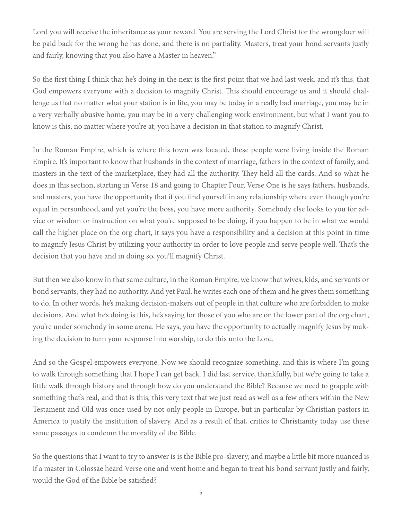Lord you will receive the inheritance as your reward. You are serving the Lord Christ for the wrongdoer will be paid back for the wrong he has done, and there is no partiality. Masters, treat your bond servants justly and fairly, knowing that you also have a Master in heaven."

So the first thing I think that he's doing in the next is the first point that we had last week, and it's this, that God empowers everyone with a decision to magnify Christ. This should encourage us and it should challenge us that no matter what your station is in life, you may be today in a really bad marriage, you may be in a very verbally abusive home, you may be in a very challenging work environment, but what I want you to know is this, no matter where you're at, you have a decision in that station to magnify Christ.

In the Roman Empire, which is where this town was located, these people were living inside the Roman Empire. It's important to know that husbands in the context of marriage, fathers in the context of family, and masters in the text of the marketplace, they had all the authority. They held all the cards. And so what he does in this section, starting in Verse 18 and going to Chapter Four, Verse One is he says fathers, husbands, and masters, you have the opportunity that if you find yourself in any relationship where even though you're equal in personhood, and yet you're the boss, you have more authority. Somebody else looks to you for advice or wisdom or instruction on what you're supposed to be doing, if you happen to be in what we would call the higher place on the org chart, it says you have a responsibility and a decision at this point in time to magnify Jesus Christ by utilizing your authority in order to love people and serve people well. That's the decision that you have and in doing so, you'll magnify Christ.

But then we also know in that same culture, in the Roman Empire, we know that wives, kids, and servants or bond servants, they had no authority. And yet Paul, he writes each one of them and he gives them something to do. In other words, he's making decision-makers out of people in that culture who are forbidden to make decisions. And what he's doing is this, he's saying for those of you who are on the lower part of the org chart, you're under somebody in some arena. He says, you have the opportunity to actually magnify Jesus by making the decision to turn your response into worship, to do this unto the Lord.

And so the Gospel empowers everyone. Now we should recognize something, and this is where I'm going to walk through something that I hope I can get back. I did last service, thankfully, but we're going to take a little walk through history and through how do you understand the Bible? Because we need to grapple with something that's real, and that is this, this very text that we just read as well as a few others within the New Testament and Old was once used by not only people in Europe, but in particular by Christian pastors in America to justify the institution of slavery. And as a result of that, critics to Christianity today use these same passages to condemn the morality of the Bible.

So the questions that I want to try to answer is is the Bible pro-slavery, and maybe a little bit more nuanced is if a master in Colossae heard Verse one and went home and began to treat his bond servant justly and fairly, would the God of the Bible be satisfied?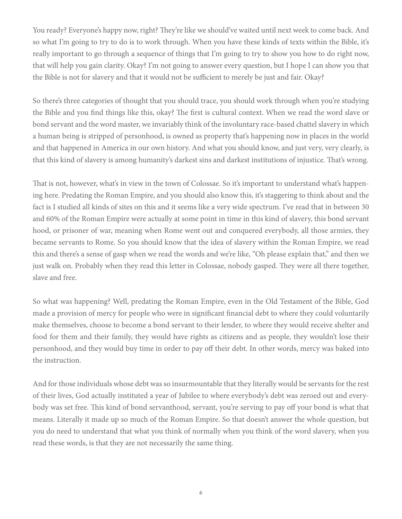You ready? Everyone's happy now, right? They're like we should've waited until next week to come back. And so what I'm going to try to do is to work through. When you have these kinds of texts within the Bible, it's really important to go through a sequence of things that I'm going to try to show you how to do right now, that will help you gain clarity. Okay? I'm not going to answer every question, but I hope I can show you that the Bible is not for slavery and that it would not be sufficient to merely be just and fair. Okay?

So there's three categories of thought that you should trace, you should work through when you're studying the Bible and you find things like this, okay? The first is cultural context. When we read the word slave or bond servant and the word master, we invariably think of the involuntary race-based chattel slavery in which a human being is stripped of personhood, is owned as property that's happening now in places in the world and that happened in America in our own history. And what you should know, and just very, very clearly, is that this kind of slavery is among humanity's darkest sins and darkest institutions of injustice. That's wrong.

That is not, however, what's in view in the town of Colossae. So it's important to understand what's happening here. Predating the Roman Empire, and you should also know this, it's staggering to think about and the fact is I studied all kinds of sites on this and it seems like a very wide spectrum. I've read that in between 30 and 60% of the Roman Empire were actually at some point in time in this kind of slavery, this bond servant hood, or prisoner of war, meaning when Rome went out and conquered everybody, all those armies, they became servants to Rome. So you should know that the idea of slavery within the Roman Empire, we read this and there's a sense of gasp when we read the words and we're like, "Oh please explain that," and then we just walk on. Probably when they read this letter in Colossae, nobody gasped. They were all there together, slave and free.

So what was happening? Well, predating the Roman Empire, even in the Old Testament of the Bible, God made a provision of mercy for people who were in significant financial debt to where they could voluntarily make themselves, choose to become a bond servant to their lender, to where they would receive shelter and food for them and their family, they would have rights as citizens and as people, they wouldn't lose their personhood, and they would buy time in order to pay off their debt. In other words, mercy was baked into the instruction.

And for those individuals whose debt was so insurmountable that they literally would be servants for the rest of their lives, God actually instituted a year of Jubilee to where everybody's debt was zeroed out and everybody was set free. This kind of bond servanthood, servant, you're serving to pay off your bond is what that means. Literally it made up so much of the Roman Empire. So that doesn't answer the whole question, but you do need to understand that what you think of normally when you think of the word slavery, when you read these words, is that they are not necessarily the same thing.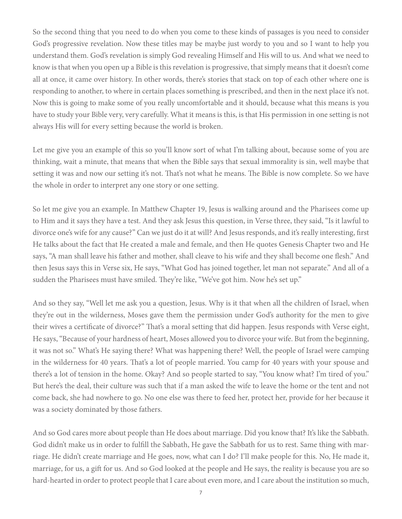So the second thing that you need to do when you come to these kinds of passages is you need to consider God's progressive revelation. Now these titles may be maybe just wordy to you and so I want to help you understand them. God's revelation is simply God revealing Himself and His will to us. And what we need to know is that when you open up a Bible is this revelation is progressive, that simply means that it doesn't come all at once, it came over history. In other words, there's stories that stack on top of each other where one is responding to another, to where in certain places something is prescribed, and then in the next place it's not. Now this is going to make some of you really uncomfortable and it should, because what this means is you have to study your Bible very, very carefully. What it means is this, is that His permission in one setting is not always His will for every setting because the world is broken.

Let me give you an example of this so you'll know sort of what I'm talking about, because some of you are thinking, wait a minute, that means that when the Bible says that sexual immorality is sin, well maybe that setting it was and now our setting it's not. That's not what he means. The Bible is now complete. So we have the whole in order to interpret any one story or one setting.

So let me give you an example. In Matthew Chapter 19, Jesus is walking around and the Pharisees come up to Him and it says they have a test. And they ask Jesus this question, in Verse three, they said, "Is it lawful to divorce one's wife for any cause?" Can we just do it at will? And Jesus responds, and it's really interesting, first He talks about the fact that He created a male and female, and then He quotes Genesis Chapter two and He says, "A man shall leave his father and mother, shall cleave to his wife and they shall become one flesh." And then Jesus says this in Verse six, He says, "What God has joined together, let man not separate." And all of a sudden the Pharisees must have smiled. They're like, "We've got him. Now he's set up."

And so they say, "Well let me ask you a question, Jesus. Why is it that when all the children of Israel, when they're out in the wilderness, Moses gave them the permission under God's authority for the men to give their wives a certificate of divorce?" That's a moral setting that did happen. Jesus responds with Verse eight, He says, "Because of your hardness of heart, Moses allowed you to divorce your wife. But from the beginning, it was not so." What's He saying there? What was happening there? Well, the people of Israel were camping in the wilderness for 40 years. That's a lot of people married. You camp for 40 years with your spouse and there's a lot of tension in the home. Okay? And so people started to say, "You know what? I'm tired of you." But here's the deal, their culture was such that if a man asked the wife to leave the home or the tent and not come back, she had nowhere to go. No one else was there to feed her, protect her, provide for her because it was a society dominated by those fathers.

And so God cares more about people than He does about marriage. Did you know that? It's like the Sabbath. God didn't make us in order to fulfill the Sabbath, He gave the Sabbath for us to rest. Same thing with marriage. He didn't create marriage and He goes, now, what can I do? I'll make people for this. No, He made it, marriage, for us, a gift for us. And so God looked at the people and He says, the reality is because you are so hard-hearted in order to protect people that I care about even more, and I care about the institution so much,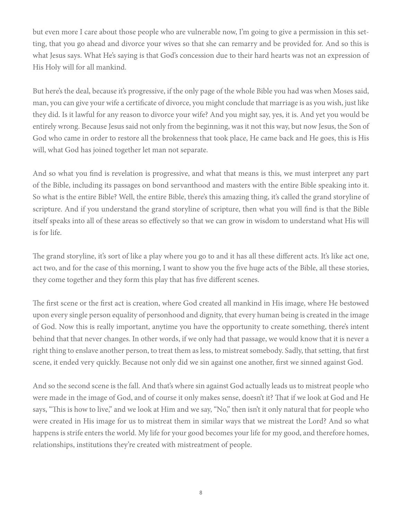but even more I care about those people who are vulnerable now, I'm going to give a permission in this setting, that you go ahead and divorce your wives so that she can remarry and be provided for. And so this is what Jesus says. What He's saying is that God's concession due to their hard hearts was not an expression of His Holy will for all mankind.

But here's the deal, because it's progressive, if the only page of the whole Bible you had was when Moses said, man, you can give your wife a certificate of divorce, you might conclude that marriage is as you wish, just like they did. Is it lawful for any reason to divorce your wife? And you might say, yes, it is. And yet you would be entirely wrong. Because Jesus said not only from the beginning, was it not this way, but now Jesus, the Son of God who came in order to restore all the brokenness that took place, He came back and He goes, this is His will, what God has joined together let man not separate.

And so what you find is revelation is progressive, and what that means is this, we must interpret any part of the Bible, including its passages on bond servanthood and masters with the entire Bible speaking into it. So what is the entire Bible? Well, the entire Bible, there's this amazing thing, it's called the grand storyline of scripture. And if you understand the grand storyline of scripture, then what you will find is that the Bible itself speaks into all of these areas so effectively so that we can grow in wisdom to understand what His will is for life.

The grand storyline, it's sort of like a play where you go to and it has all these different acts. It's like act one, act two, and for the case of this morning, I want to show you the five huge acts of the Bible, all these stories, they come together and they form this play that has five different scenes.

The first scene or the first act is creation, where God created all mankind in His image, where He bestowed upon every single person equality of personhood and dignity, that every human being is created in the image of God. Now this is really important, anytime you have the opportunity to create something, there's intent behind that that never changes. In other words, if we only had that passage, we would know that it is never a right thing to enslave another person, to treat them as less, to mistreat somebody. Sadly, that setting, that first scene, it ended very quickly. Because not only did we sin against one another, first we sinned against God.

And so the second scene is the fall. And that's where sin against God actually leads us to mistreat people who were made in the image of God, and of course it only makes sense, doesn't it? That if we look at God and He says, "This is how to live," and we look at Him and we say, "No," then isn't it only natural that for people who were created in His image for us to mistreat them in similar ways that we mistreat the Lord? And so what happens is strife enters the world. My life for your good becomes your life for my good, and therefore homes, relationships, institutions they're created with mistreatment of people.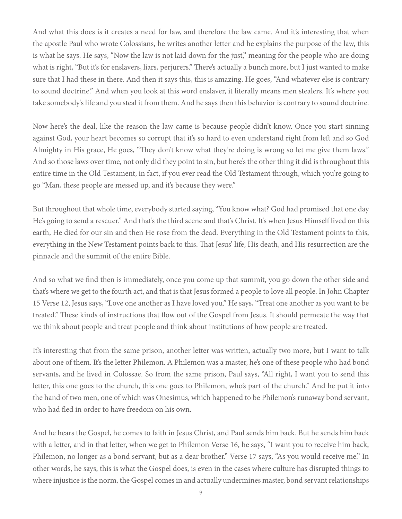And what this does is it creates a need for law, and therefore the law came. And it's interesting that when the apostle Paul who wrote Colossians, he writes another letter and he explains the purpose of the law, this is what he says. He says, "Now the law is not laid down for the just," meaning for the people who are doing what is right, "But it's for enslavers, liars, perjurers." There's actually a bunch more, but I just wanted to make sure that I had these in there. And then it says this, this is amazing. He goes, "And whatever else is contrary to sound doctrine." And when you look at this word enslaver, it literally means men stealers. It's where you take somebody's life and you steal it from them. And he says then this behavior is contrary to sound doctrine.

Now here's the deal, like the reason the law came is because people didn't know. Once you start sinning against God, your heart becomes so corrupt that it's so hard to even understand right from left and so God Almighty in His grace, He goes, "They don't know what they're doing is wrong so let me give them laws." And so those laws over time, not only did they point to sin, but here's the other thing it did is throughout this entire time in the Old Testament, in fact, if you ever read the Old Testament through, which you're going to go "Man, these people are messed up, and it's because they were."

But throughout that whole time, everybody started saying, "You know what? God had promised that one day He's going to send a rescuer." And that's the third scene and that's Christ. It's when Jesus Himself lived on this earth, He died for our sin and then He rose from the dead. Everything in the Old Testament points to this, everything in the New Testament points back to this. That Jesus' life, His death, and His resurrection are the pinnacle and the summit of the entire Bible.

And so what we find then is immediately, once you come up that summit, you go down the other side and that's where we get to the fourth act, and that is that Jesus formed a people to love all people. In John Chapter 15 Verse 12, Jesus says, "Love one another as I have loved you." He says, "Treat one another as you want to be treated." These kinds of instructions that flow out of the Gospel from Jesus. It should permeate the way that we think about people and treat people and think about institutions of how people are treated.

It's interesting that from the same prison, another letter was written, actually two more, but I want to talk about one of them. It's the letter Philemon. A Philemon was a master, he's one of these people who had bond servants, and he lived in Colossae. So from the same prison, Paul says, "All right, I want you to send this letter, this one goes to the church, this one goes to Philemon, who's part of the church." And he put it into the hand of two men, one of which was Onesimus, which happened to be Philemon's runaway bond servant, who had fled in order to have freedom on his own.

And he hears the Gospel, he comes to faith in Jesus Christ, and Paul sends him back. But he sends him back with a letter, and in that letter, when we get to Philemon Verse 16, he says, "I want you to receive him back, Philemon, no longer as a bond servant, but as a dear brother." Verse 17 says, "As you would receive me." In other words, he says, this is what the Gospel does, is even in the cases where culture has disrupted things to where injustice is the norm, the Gospel comes in and actually undermines master, bond servant relationships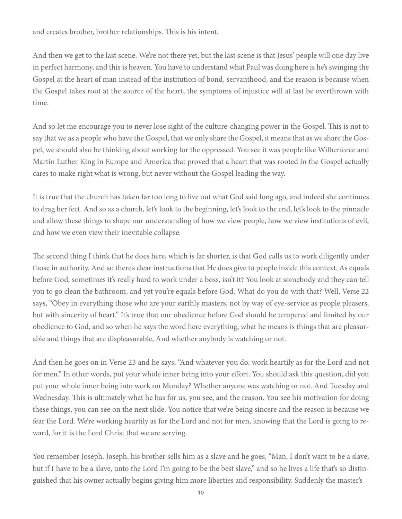and creates brother, brother relationships. This is his intent.

And then we get to the last scene. We're not there yet, but the last scene is that Jesus' people will one day live in perfect harmony, and this is heaven. You have to understand what Paul was doing here is he's swinging the Gospel at the heart of man instead of the institution of bond, servanthood, and the reason is because when the Gospel takes root at the source of the heart, the symptoms of injustice will at last be overthrown with time.

And so let me encourage you to never lose sight of the culture-changing power in the Gospel. This is not to say that we as a people who have the Gospel, that we only share the Gospel, it means that as we share the Gospel, we should also be thinking about working for the oppressed. You see it was people like Wilberforce and Martin Luther King in Europe and America that proved that a heart that was rooted in the Gospel actually cares to make right what is wrong, but never without the Gospel leading the way.

It is true that the church has taken far too long to live out what God said long ago, and indeed she continues to drag her feet. And so as a church, let's look to the beginning, let's look to the end, let's look to the pinnacle and allow these things to shape our understanding of how we view people, how we view institutions of evil, and how we even view their inevitable collapse.

The second thing I think that he does here, which is far shorter, is that God calls us to work diligently under those in authority. And so there's clear instructions that He does give to people inside this context. As equals before God, sometimes it's really hard to work under a boss, isn't it? You look at somebody and they can tell you to go clean the bathroom, and yet you're equals before God. What do you do with that? Well, Verse 22 says, "Obey in everything those who are your earthly masters, not by way of eye-service as people pleasers, but with sincerity of heart." It's true that our obedience before God should be tempered and limited by our obedience to God, and so when he says the word here everything, what he means is things that are pleasurable and things that are displeasurable, And whether anybody is watching or not.

And then he goes on in Verse 23 and he says, "And whatever you do, work heartily as for the Lord and not for men." In other words, put your whole inner being into your effort. You should ask this question, did you put your whole inner being into work on Monday? Whether anyone was watching or not. And Tuesday and Wednesday. This is ultimately what he has for us, you see, and the reason. You see his motivation for doing these things, you can see on the next slide. You notice that we're being sincere and the reason is because we fear the Lord. We're working heartily as for the Lord and not for men, knowing that the Lord is going to reward, for it is the Lord Christ that we are serving.

You remember Joseph. Joseph, his brother sells him as a slave and he goes, "Man, I don't want to be a slave, but if I have to be a slave, unto the Lord I'm going to be the best slave," and so he lives a life that's so distinguished that his owner actually begins giving him more liberties and responsibility. Suddenly the master's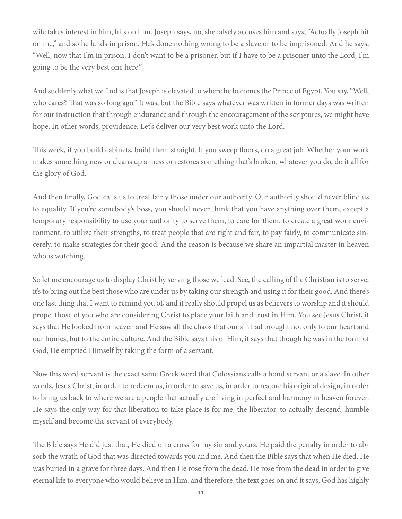wife takes interest in him, hits on him. Joseph says, no, she falsely accuses him and says, "Actually Joseph hit on me," and so he lands in prison. He's done nothing wrong to be a slave or to be imprisoned. And he says, "Well, now that I'm in prison, I don't want to be a prisoner, but if I have to be a prisoner unto the Lord, I'm going to be the very best one here."

And suddenly what we find is that Joseph is elevated to where he becomes the Prince of Egypt. You say, "Well, who cares? That was so long ago." It was, but the Bible says whatever was written in former days was written for our instruction that through endurance and through the encouragement of the scriptures, we might have hope. In other words, providence. Let's deliver our very best work unto the Lord.

This week, if you build cabinets, build them straight. If you sweep floors, do a great job. Whether your work makes something new or cleans up a mess or restores something that's broken, whatever you do, do it all for the glory of God.

And then finally, God calls us to treat fairly those under our authority. Our authority should never blind us to equality. If you're somebody's boss, you should never think that you have anything over them, except a temporary responsibility to use your authority to serve them, to care for them, to create a great work environment, to utilize their strengths, to treat people that are right and fair, to pay fairly, to communicate sincerely, to make strategies for their good. And the reason is because we share an impartial master in heaven who is watching.

So let me encourage us to display Christ by serving those we lead. See, the calling of the Christian is to serve, it's to bring out the best those who are under us by taking our strength and using it for their good. And there's one last thing that I want to remind you of, and it really should propel us as believers to worship and it should propel those of you who are considering Christ to place your faith and trust in Him. You see Jesus Christ, it says that He looked from heaven and He saw all the chaos that our sin had brought not only to our heart and our homes, but to the entire culture. And the Bible says this of Him, it says that though he was in the form of God, He emptied Himself by taking the form of a servant.

Now this word servant is the exact same Greek word that Colossians calls a bond servant or a slave. In other words, Jesus Christ, in order to redeem us, in order to save us, in order to restore his original design, in order to bring us back to where we are a people that actually are living in perfect and harmony in heaven forever. He says the only way for that liberation to take place is for me, the liberator, to actually descend, humble myself and become the servant of everybody.

The Bible says He did just that, He died on a cross for my sin and yours. He paid the penalty in order to absorb the wrath of God that was directed towards you and me. And then the Bible says that when He died, He was buried in a grave for three days. And then He rose from the dead. He rose from the dead in order to give eternal life to everyone who would believe in Him, and therefore, the text goes on and it says, God has highly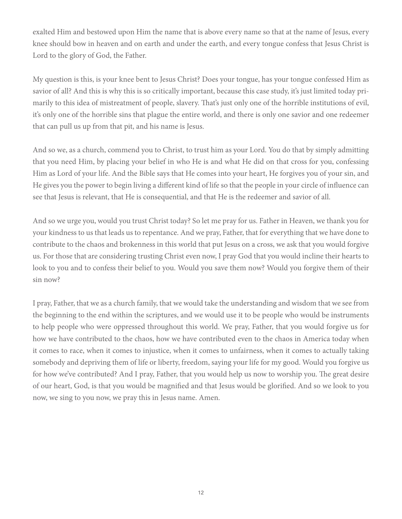exalted Him and bestowed upon Him the name that is above every name so that at the name of Jesus, every knee should bow in heaven and on earth and under the earth, and every tongue confess that Jesus Christ is Lord to the glory of God, the Father.

My question is this, is your knee bent to Jesus Christ? Does your tongue, has your tongue confessed Him as savior of all? And this is why this is so critically important, because this case study, it's just limited today primarily to this idea of mistreatment of people, slavery. That's just only one of the horrible institutions of evil, it's only one of the horrible sins that plague the entire world, and there is only one savior and one redeemer that can pull us up from that pit, and his name is Jesus.

And so we, as a church, commend you to Christ, to trust him as your Lord. You do that by simply admitting that you need Him, by placing your belief in who He is and what He did on that cross for you, confessing Him as Lord of your life. And the Bible says that He comes into your heart, He forgives you of your sin, and He gives you the power to begin living a different kind of life so that the people in your circle of influence can see that Jesus is relevant, that He is consequential, and that He is the redeemer and savior of all.

And so we urge you, would you trust Christ today? So let me pray for us. Father in Heaven, we thank you for your kindness to us that leads us to repentance. And we pray, Father, that for everything that we have done to contribute to the chaos and brokenness in this world that put Jesus on a cross, we ask that you would forgive us. For those that are considering trusting Christ even now, I pray God that you would incline their hearts to look to you and to confess their belief to you. Would you save them now? Would you forgive them of their sin now?

I pray, Father, that we as a church family, that we would take the understanding and wisdom that we see from the beginning to the end within the scriptures, and we would use it to be people who would be instruments to help people who were oppressed throughout this world. We pray, Father, that you would forgive us for how we have contributed to the chaos, how we have contributed even to the chaos in America today when it comes to race, when it comes to injustice, when it comes to unfairness, when it comes to actually taking somebody and depriving them of life or liberty, freedom, saying your life for my good. Would you forgive us for how we've contributed? And I pray, Father, that you would help us now to worship you. The great desire of our heart, God, is that you would be magnified and that Jesus would be glorified. And so we look to you now, we sing to you now, we pray this in Jesus name. Amen.